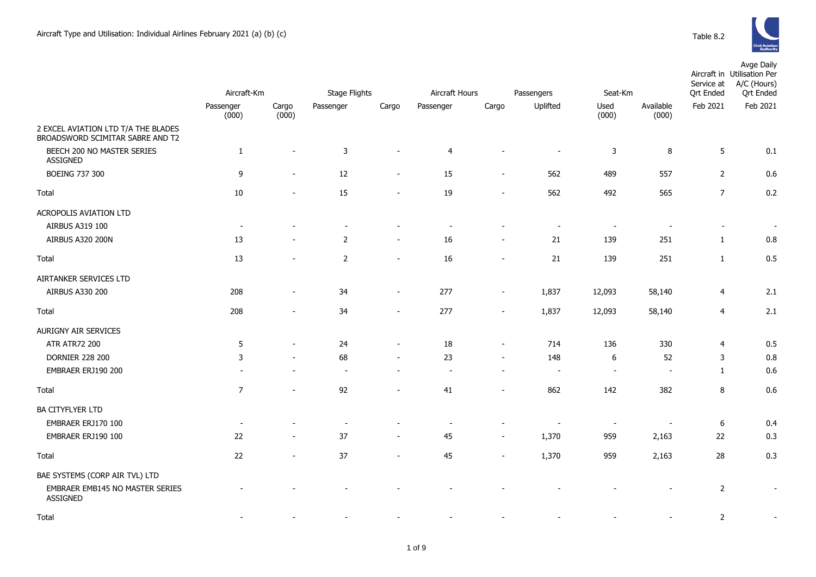

|                                                                         |                    | Aircraft-Km              |                          | <b>Stage Flights</b>     |                | Aircraft Hours           |          | Passengers<br>Seat-Km    |                          | Aircraft in Utilisation Per<br>A/C (Hours)<br>Service at<br><b>Qrt</b> Ended<br><b>Qrt Ended</b> |                          |
|-------------------------------------------------------------------------|--------------------|--------------------------|--------------------------|--------------------------|----------------|--------------------------|----------|--------------------------|--------------------------|--------------------------------------------------------------------------------------------------|--------------------------|
|                                                                         | Passenger<br>(000) | Cargo<br>(000)           | Passenger                | Cargo                    | Passenger      | Cargo                    | Uplifted | Used<br>(000)            | Available<br>(000)       | Feb 2021                                                                                         | Feb 2021                 |
| 2 EXCEL AVIATION LTD T/A THE BLADES<br>BROADSWORD SCIMITAR SABRE AND T2 |                    |                          |                          |                          |                |                          |          |                          |                          |                                                                                                  |                          |
| BEECH 200 NO MASTER SERIES<br><b>ASSIGNED</b>                           | $\mathbf{1}$       | $\sim$                   | 3                        |                          | $\overline{4}$ |                          |          | 3                        | 8                        | 5                                                                                                | 0.1                      |
| <b>BOEING 737 300</b>                                                   | 9                  | $\overline{\phantom{a}}$ | 12                       | $\overline{\phantom{a}}$ | 15             | $\overline{\phantom{a}}$ | 562      | 489                      | 557                      | $\overline{2}$                                                                                   | 0.6                      |
| Total                                                                   | $10\,$             |                          | 15                       | $\blacksquare$           | 19             | $\overline{\phantom{a}}$ | 562      | 492                      | 565                      | $\overline{7}$                                                                                   | 0.2                      |
| <b>ACROPOLIS AVIATION LTD</b>                                           |                    |                          |                          |                          |                |                          |          |                          |                          |                                                                                                  |                          |
| AIRBUS A319 100                                                         |                    |                          |                          |                          |                |                          |          |                          |                          |                                                                                                  | $\overline{\phantom{a}}$ |
| <b>AIRBUS A320 200N</b>                                                 | 13                 |                          | $\overline{2}$           |                          | 16             |                          | 21       | 139                      | 251                      | $\mathbf{1}$                                                                                     | 0.8                      |
| Total                                                                   | 13                 |                          | 2                        |                          | 16             |                          | 21       | 139                      | 251                      | $\mathbf{1}$                                                                                     | 0.5                      |
| AIRTANKER SERVICES LTD                                                  |                    |                          |                          |                          |                |                          |          |                          |                          |                                                                                                  |                          |
| AIRBUS A330 200                                                         | 208                |                          | 34                       | $\sim$                   | 277            | $\sim$                   | 1,837    | 12,093                   | 58,140                   | 4                                                                                                | 2.1                      |
| Total                                                                   | 208                |                          | 34                       |                          | 277            |                          | 1,837    | 12,093                   | 58,140                   | $\overline{4}$                                                                                   | 2.1                      |
| AURIGNY AIR SERVICES                                                    |                    |                          |                          |                          |                |                          |          |                          |                          |                                                                                                  |                          |
| <b>ATR ATR72 200</b>                                                    | 5                  |                          | 24                       | $\blacksquare$           | 18             | $\sim$                   | 714      | 136                      | 330                      | $\overline{4}$                                                                                   | 0.5                      |
| <b>DORNIER 228 200</b>                                                  | 3                  |                          | 68                       |                          | 23             |                          | 148      | 6                        | 52                       | 3                                                                                                | 0.8                      |
| EMBRAER ERJ190 200                                                      |                    |                          |                          |                          |                |                          |          | $\sim$                   | $\overline{\phantom{a}}$ | $\mathbf{1}$                                                                                     | 0.6                      |
| Total                                                                   | $\overline{7}$     | $\sim$                   | 92                       | $\sim$                   | 41             | $\sim$                   | 862      | 142                      | 382                      | 8                                                                                                | 0.6                      |
| <b>BA CITYFLYER LTD</b>                                                 |                    |                          |                          |                          |                |                          |          |                          |                          |                                                                                                  |                          |
| EMBRAER ERJ170 100                                                      |                    |                          | $\overline{\phantom{a}}$ |                          |                |                          |          | $\overline{\phantom{a}}$ |                          | 6                                                                                                | 0.4                      |
| EMBRAER ERJ190 100                                                      | 22                 |                          | 37                       | $\overline{\phantom{a}}$ | 45             | $\overline{\phantom{a}}$ | 1,370    | 959                      | 2,163                    | 22                                                                                               | 0.3                      |
| Total                                                                   | 22                 |                          | 37                       |                          | 45             |                          | 1,370    | 959                      | 2,163                    | 28                                                                                               | 0.3                      |
| BAE SYSTEMS (CORP AIR TVL) LTD                                          |                    |                          |                          |                          |                |                          |          |                          |                          |                                                                                                  |                          |
| EMBRAER EMB145 NO MASTER SERIES<br>ASSIGNED                             |                    |                          |                          |                          |                |                          |          |                          |                          | $\mathbf 2$                                                                                      |                          |

1 of 9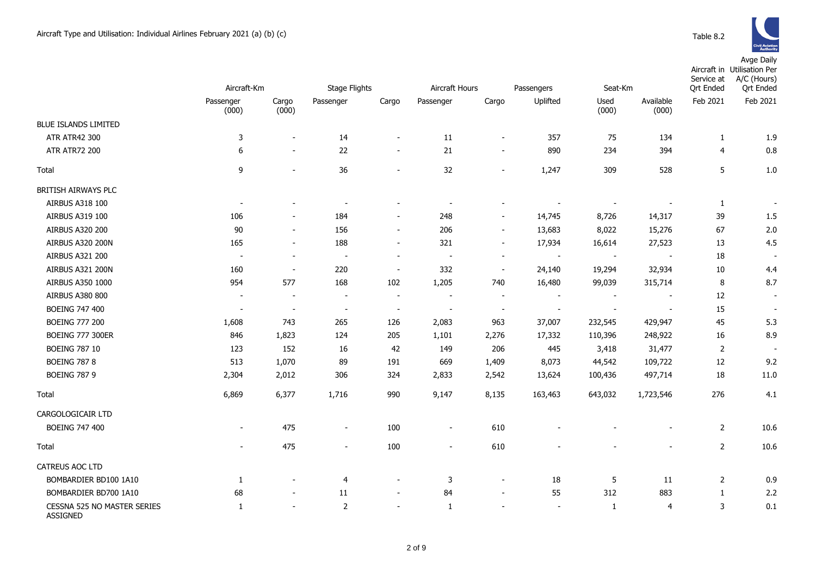|                                                | Aircraft-Km              |                          | <b>Stage Flights</b>     |                          | Aircraft Hours           |                          | Passengers<br>Seat-Km    |                          | Service at<br><b>Ort Ended</b> | Aircraft in Utilisation Per<br>A/C (Hours)<br><b>Qrt Ended</b> |                          |
|------------------------------------------------|--------------------------|--------------------------|--------------------------|--------------------------|--------------------------|--------------------------|--------------------------|--------------------------|--------------------------------|----------------------------------------------------------------|--------------------------|
|                                                | Passenger<br>(000)       | Cargo<br>(000)           | Passenger                | Cargo                    | Passenger                | Cargo                    | Uplifted                 | Used<br>(000)            | Available<br>(000)             | Feb 2021                                                       | Feb 2021                 |
| <b>BLUE ISLANDS LIMITED</b>                    |                          |                          |                          |                          |                          |                          |                          |                          |                                |                                                                |                          |
| <b>ATR ATR42 300</b>                           | 3                        | $\overline{\phantom{a}}$ | 14                       | $\blacksquare$           | 11                       | $\overline{\phantom{a}}$ | 357                      | 75                       | 134                            | $\mathbf{1}$                                                   | 1.9                      |
| <b>ATR ATR72 200</b>                           | 6                        | $\sim$                   | 22                       | $\blacksquare$           | 21                       | $\overline{\phantom{a}}$ | 890                      | 234                      | 394                            | 4                                                              | 0.8                      |
| Total                                          | 9                        | $\overline{\phantom{a}}$ | 36                       | $\blacksquare$           | 32                       | $\blacksquare$           | 1,247                    | 309                      | 528                            | 5                                                              | $1.0\,$                  |
| BRITISH AIRWAYS PLC                            |                          |                          |                          |                          |                          |                          |                          |                          |                                |                                                                |                          |
| AIRBUS A318 100                                | $\blacksquare$           |                          | $\overline{\phantom{a}}$ |                          |                          |                          |                          |                          |                                | 1                                                              | $\sim$                   |
| AIRBUS A319 100                                | 106                      | $\overline{\phantom{a}}$ | 184                      | $\overline{\phantom{a}}$ | 248                      | $\blacksquare$           | 14,745                   | 8,726                    | 14,317                         | 39                                                             | 1.5                      |
| AIRBUS A320 200                                | 90                       | $\overline{\phantom{a}}$ | 156                      | $\overline{\phantom{a}}$ | 206                      | $\blacksquare$           | 13,683                   | 8,022                    | 15,276                         | 67                                                             | 2.0                      |
| AIRBUS A320 200N                               | 165                      |                          | 188                      | $\overline{a}$           | 321                      | $\overline{\phantom{a}}$ | 17,934                   | 16,614                   | 27,523                         | 13                                                             | 4.5                      |
| AIRBUS A321 200                                | $\overline{\phantom{a}}$ | $\sim$                   | $\overline{\phantom{a}}$ | $\overline{\phantom{a}}$ | $\overline{\phantom{a}}$ | $\overline{\phantom{a}}$ |                          |                          |                                | 18                                                             |                          |
| AIRBUS A321 200N                               | 160                      | $\overline{\phantom{a}}$ | 220                      | $\overline{\phantom{a}}$ | 332                      | $\overline{\phantom{a}}$ | 24,140                   | 19,294                   | 32,934                         | 10                                                             | 4.4                      |
| AIRBUS A350 1000                               | 954                      | 577                      | 168                      | 102                      | 1,205                    | 740                      | 16,480                   | 99,039                   | 315,714                        | 8                                                              | 8.7                      |
| <b>AIRBUS A380 800</b>                         | $\overline{\phantom{a}}$ | $\overline{\phantom{a}}$ | $\overline{\phantom{a}}$ | $\overline{\phantom{a}}$ | $\overline{\phantom{a}}$ | $\overline{\phantom{a}}$ |                          | $\overline{\phantom{a}}$ |                                | 12                                                             | $\sim$                   |
| <b>BOEING 747 400</b>                          | $\blacksquare$           | $\overline{\phantom{a}}$ | $\overline{\phantom{a}}$ | $\overline{\phantom{a}}$ | $\overline{\phantom{a}}$ | $\blacksquare$           | $\overline{\phantom{a}}$ | $\overline{\phantom{a}}$ | $\overline{\phantom{a}}$       | 15                                                             | $\overline{\phantom{a}}$ |
| <b>BOEING 777 200</b>                          | 1,608                    | 743                      | 265                      | 126                      | 2,083                    | 963                      | 37,007                   | 232,545                  | 429,947                        | 45                                                             | 5.3                      |
| <b>BOEING 777 300ER</b>                        | 846                      | 1,823                    | 124                      | 205                      | 1,101                    | 2,276                    | 17,332                   | 110,396                  | 248,922                        | 16                                                             | 8.9                      |
| <b>BOEING 787 10</b>                           | 123                      | 152                      | 16                       | 42                       | 149                      | 206                      | 445                      | 3,418                    | 31,477                         | 2                                                              | $\overline{\phantom{a}}$ |
| <b>BOEING 787 8</b>                            | 513                      | 1,070                    | 89                       | 191                      | 669                      | 1,409                    | 8,073                    | 44,542                   | 109,722                        | 12                                                             | 9.2                      |
| <b>BOEING 787 9</b>                            | 2,304                    | 2,012                    | 306                      | 324                      | 2,833                    | 2,542                    | 13,624                   | 100,436                  | 497,714                        | 18                                                             | 11.0                     |
| Total                                          | 6,869                    | 6,377                    | 1,716                    | 990                      | 9,147                    | 8,135                    | 163,463                  | 643,032                  | 1,723,546                      | 276                                                            | 4.1                      |
| CARGOLOGICAIR LTD                              |                          |                          |                          |                          |                          |                          |                          |                          |                                |                                                                |                          |
| <b>BOEING 747 400</b>                          |                          | 475                      | $\overline{\phantom{a}}$ | 100                      | $\overline{\phantom{m}}$ | 610                      |                          |                          |                                | 2                                                              | 10.6                     |
| Total                                          | $\blacksquare$           | 475                      | $\blacksquare$           | 100                      | $\overline{\phantom{a}}$ | 610                      |                          |                          | $\sim$                         | $\overline{2}$                                                 | 10.6                     |
| CATREUS AOC LTD                                |                          |                          |                          |                          |                          |                          |                          |                          |                                |                                                                |                          |
| BOMBARDIER BD100 1A10                          | 1                        |                          | $\overline{4}$           | $\overline{\phantom{a}}$ | 3                        | $\overline{\phantom{a}}$ | 18                       | 5                        | 11                             | 2                                                              | 0.9                      |
| BOMBARDIER BD700 1A10                          | 68                       |                          | 11                       | $\overline{\phantom{a}}$ | 84                       | $\blacksquare$           | 55                       | 312                      | 883                            | $\mathbf{1}$                                                   | 2.2                      |
| CESSNA 525 NO MASTER SERIES<br><b>ASSIGNED</b> | -1                       |                          | 2                        | $\overline{\phantom{0}}$ | 1                        |                          | $\overline{\phantom{a}}$ | 1                        | 4                              | 3                                                              | 0.1                      |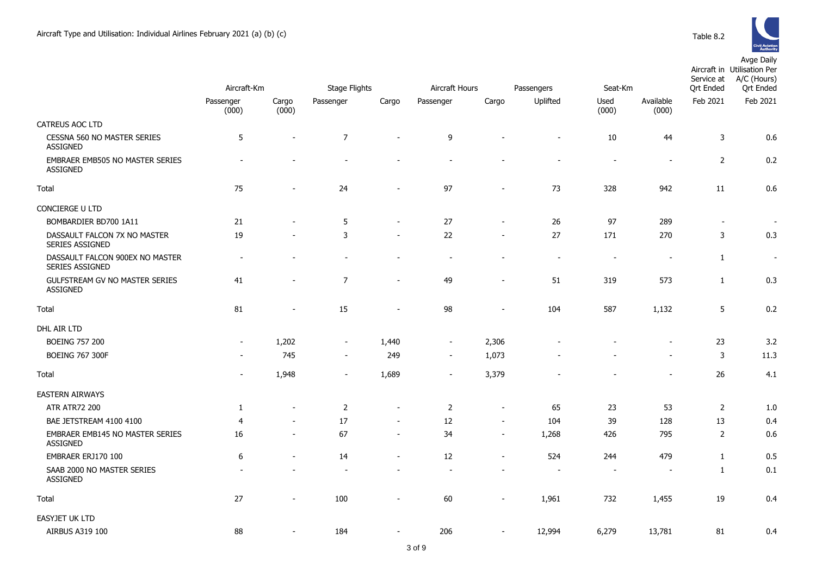

|                                                           | Aircraft-Km              |                          | <b>Stage Flights</b>     |                          | Aircraft Hours<br>Passengers |                          |                          | Seat-Km                  |                          | Service at<br><b>Qrt Ended</b> | Aircraft in Utilisation Per<br>A/C (Hours)<br><b>Qrt</b> Ended |  |
|-----------------------------------------------------------|--------------------------|--------------------------|--------------------------|--------------------------|------------------------------|--------------------------|--------------------------|--------------------------|--------------------------|--------------------------------|----------------------------------------------------------------|--|
|                                                           | Passenger<br>(000)       | Cargo<br>(000)           | Passenger                | Cargo                    | Passenger                    | Cargo                    | Uplifted                 | Used<br>(000)            | Available<br>(000)       | Feb 2021                       | Feb 2021                                                       |  |
| <b>CATREUS AOC LTD</b>                                    |                          |                          |                          |                          |                              |                          |                          |                          |                          |                                |                                                                |  |
| CESSNA 560 NO MASTER SERIES<br><b>ASSIGNED</b>            | 5                        | $\overline{\phantom{a}}$ | $\overline{7}$           | $\overline{\phantom{a}}$ | 9                            |                          | $\sim$                   | $10\,$                   | 44                       | $\mathsf{3}$                   | 0.6                                                            |  |
| EMBRAER EMB505 NO MASTER SERIES<br><b>ASSIGNED</b>        |                          |                          |                          |                          |                              |                          |                          | $\blacksquare$           | $\overline{a}$           | $\overline{2}$                 | 0.2                                                            |  |
| Total                                                     | 75                       |                          | 24                       | $\overline{a}$           | 97                           | $\blacksquare$           | 73                       | 328                      | 942                      | 11                             | 0.6                                                            |  |
| CONCIERGE U LTD                                           |                          |                          |                          |                          |                              |                          |                          |                          |                          |                                |                                                                |  |
| BOMBARDIER BD700 1A11                                     | 21                       | $\overline{a}$           | $\sqrt{5}$               | $\sim$                   | 27                           | $\overline{\phantom{a}}$ | 26                       | 97                       | 289                      | $\overline{\phantom{a}}$       | $\sim$                                                         |  |
| DASSAULT FALCON 7X NO MASTER<br>SERIES ASSIGNED           | 19                       | $\overline{\phantom{a}}$ | 3                        | $\blacksquare$           | 22                           | $\blacksquare$           | 27                       | 171                      | 270                      | 3                              | 0.3                                                            |  |
| DASSAULT FALCON 900EX NO MASTER<br><b>SERIES ASSIGNED</b> |                          |                          |                          |                          | ÷,                           |                          | $\overline{\phantom{a}}$ | $\sim$                   | $\sim$                   | $\mathbf{1}$                   | $\blacksquare$                                                 |  |
| GULFSTREAM GV NO MASTER SERIES<br><b>ASSIGNED</b>         | 41                       | $\overline{\phantom{a}}$ | $\overline{7}$           | $\overline{\phantom{0}}$ | 49                           | $\blacksquare$           | 51                       | 319                      | 573                      | $\mathbf{1}$                   | 0.3                                                            |  |
| Total                                                     | 81                       | $\overline{\phantom{a}}$ | 15                       | $\blacksquare$           | 98                           | $\overline{\phantom{a}}$ | 104                      | 587                      | 1,132                    | 5                              | 0.2                                                            |  |
| DHL AIR LTD                                               |                          |                          |                          |                          |                              |                          |                          |                          |                          |                                |                                                                |  |
| <b>BOEING 757 200</b>                                     | $\overline{\phantom{a}}$ | 1,202                    | $\blacksquare$           | 1,440                    | $\overline{\phantom{a}}$     | 2,306                    |                          |                          | $\overline{\phantom{a}}$ | 23                             | 3.2                                                            |  |
| <b>BOEING 767 300F</b>                                    |                          | 745                      | $\overline{\phantom{a}}$ | 249                      | $\sim$                       | 1,073                    |                          |                          | $\overline{\phantom{a}}$ | 3                              | 11.3                                                           |  |
| Total                                                     | $\overline{\phantom{a}}$ | 1,948                    | $\overline{\phantom{m}}$ | 1,689                    | $\overline{\phantom{a}}$     | 3,379                    |                          |                          | $\overline{\phantom{a}}$ | 26                             | 4.1                                                            |  |
| <b>EASTERN AIRWAYS</b>                                    |                          |                          |                          |                          |                              |                          |                          |                          |                          |                                |                                                                |  |
| <b>ATR ATR72 200</b>                                      | $\mathbf{1}$             | $\sim$                   | $\overline{2}$           | $\overline{\phantom{a}}$ | 2                            | $\overline{\phantom{a}}$ | 65                       | 23                       | 53                       | $\overline{2}$                 | 1.0                                                            |  |
| BAE JETSTREAM 4100 4100                                   | $\overline{4}$           | $\blacksquare$           | 17                       | $\overline{\phantom{a}}$ | 12                           | $\blacksquare$           | 104                      | 39                       | 128                      | 13                             | 0.4                                                            |  |
| EMBRAER EMB145 NO MASTER SERIES<br><b>ASSIGNED</b>        | 16                       | $\sim$                   | 67                       | $\blacksquare$           | 34                           | $\overline{\phantom{a}}$ | 1,268                    | 426                      | 795                      | 2                              | 0.6                                                            |  |
| EMBRAER ERJ170 100                                        | 6                        | $\overline{\phantom{a}}$ | 14                       | $\overline{\phantom{a}}$ | 12                           | $\overline{\phantom{a}}$ | 524                      | 244                      | 479                      | $\mathbf{1}$                   | 0.5                                                            |  |
| SAAB 2000 NO MASTER SERIES<br><b>ASSIGNED</b>             |                          |                          | $\overline{\phantom{0}}$ | $\overline{\phantom{0}}$ | $\blacksquare$               | ۰                        | $\overline{\phantom{a}}$ | $\overline{\phantom{a}}$ | $\overline{\phantom{a}}$ | $\mathbf{1}$                   | 0.1                                                            |  |
| Total                                                     | 27                       |                          | 100                      |                          | 60                           |                          | 1,961                    | 732                      | 1,455                    | 19                             | 0.4                                                            |  |
| EASYJET UK LTD                                            |                          |                          |                          |                          |                              |                          |                          |                          |                          |                                |                                                                |  |
| AIRBUS A319 100                                           | 88                       |                          | 184                      |                          | 206                          |                          | 12,994                   | 6,279                    | 13,781                   | 81                             | 0.4                                                            |  |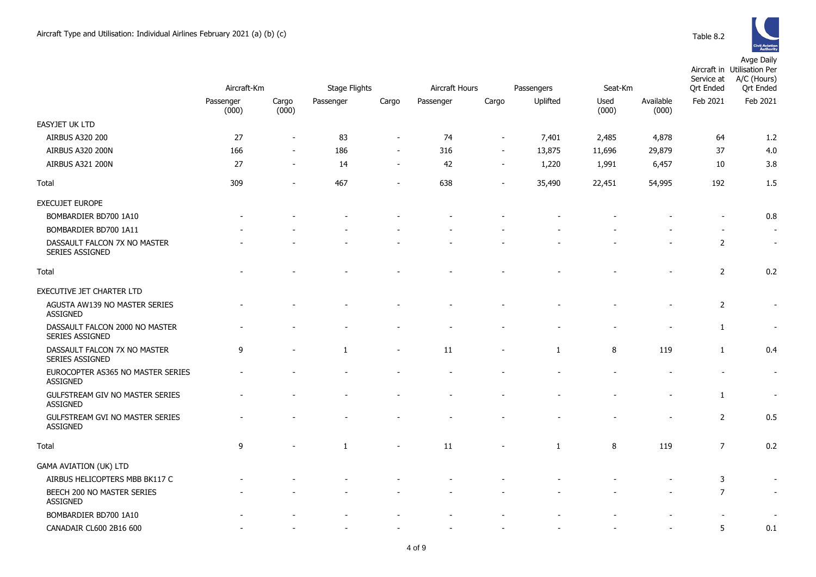|                                                          |                    | Aircraft-Km              |           | Stage Flights            |           | Aircraft Hours<br>Passengers |              | Seat-Km       |                    | Service at<br><b>Qrt Ended</b> | Aircraft in Utilisation Per<br>A/C (Hours)<br><b>Qrt Ended</b> |
|----------------------------------------------------------|--------------------|--------------------------|-----------|--------------------------|-----------|------------------------------|--------------|---------------|--------------------|--------------------------------|----------------------------------------------------------------|
|                                                          | Passenger<br>(000) | Cargo<br>(000)           | Passenger | Cargo                    | Passenger | Cargo                        | Uplifted     | Used<br>(000) | Available<br>(000) | Feb 2021                       | Feb 2021                                                       |
| EASYJET UK LTD                                           |                    |                          |           |                          |           |                              |              |               |                    |                                |                                                                |
| <b>AIRBUS A320 200</b>                                   | 27                 | $\sim$                   | 83        |                          | 74        |                              | 7,401        | 2,485         | 4,878              | 64                             | 1.2                                                            |
| <b>AIRBUS A320 200N</b>                                  | 166                |                          | 186       | $\overline{\phantom{a}}$ | 316       |                              | 13,875       | 11,696        | 29,879             | 37                             | 4.0                                                            |
| AIRBUS A321 200N                                         | 27                 | $\overline{\phantom{a}}$ | 14        | $\overline{\phantom{a}}$ | 42        |                              | 1,220        | 1,991         | 6,457              | 10                             | 3.8                                                            |
| Total                                                    | 309                | $\overline{\phantom{a}}$ | 467       | $\overline{\phantom{a}}$ | 638       | $\overline{\phantom{a}}$     | 35,490       | 22,451        | 54,995             | 192                            | 1.5                                                            |
| EXECUJET EUROPE                                          |                    |                          |           |                          |           |                              |              |               |                    |                                |                                                                |
| BOMBARDIER BD700 1A10                                    |                    |                          |           |                          |           |                              |              |               |                    |                                | 0.8                                                            |
| BOMBARDIER BD700 1A11                                    |                    |                          |           |                          |           |                              |              |               |                    |                                | $\sim$                                                         |
| DASSAULT FALCON 7X NO MASTER<br>SERIES ASSIGNED          |                    |                          |           |                          |           |                              |              |               |                    | $\overline{2}$                 | $\sim$                                                         |
| Total                                                    |                    |                          |           |                          |           |                              |              |               |                    | $\overline{2}$                 | 0.2                                                            |
| EXECUTIVE JET CHARTER LTD                                |                    |                          |           |                          |           |                              |              |               |                    |                                |                                                                |
| AGUSTA AW139 NO MASTER SERIES<br>ASSIGNED                |                    |                          |           |                          |           |                              |              |               |                    | 2                              |                                                                |
| DASSAULT FALCON 2000 NO MASTER<br><b>SERIES ASSIGNED</b> |                    |                          |           |                          |           |                              |              |               |                    | $\mathbf{1}$                   |                                                                |
| DASSAULT FALCON 7X NO MASTER<br>SERIES ASSIGNED          | 9                  |                          | 1         | $\overline{\phantom{a}}$ | 11        |                              | 1            | 8             | 119                | $\mathbf{1}$                   | 0.4                                                            |
| EUROCOPTER AS365 NO MASTER SERIES<br>ASSIGNED            |                    |                          |           |                          |           |                              |              |               |                    |                                | $\sim$                                                         |
| GULFSTREAM GIV NO MASTER SERIES<br><b>ASSIGNED</b>       |                    |                          |           |                          |           |                              |              |               |                    | 1                              | $\blacksquare$                                                 |
| GULFSTREAM GVI NO MASTER SERIES<br>ASSIGNED              |                    |                          |           |                          |           |                              |              |               |                    | $\overline{2}$                 | 0.5                                                            |
| Total                                                    | 9                  |                          | 1         |                          | $11\,$    |                              | $\mathbf{1}$ | $\, 8$        | 119                | $\overline{7}$                 | 0.2                                                            |
| <b>GAMA AVIATION (UK) LTD</b>                            |                    |                          |           |                          |           |                              |              |               |                    |                                |                                                                |
| AIRBUS HELICOPTERS MBB BK117 C                           |                    |                          |           |                          |           |                              |              |               |                    | 3                              |                                                                |
| BEECH 200 NO MASTER SERIES<br>ASSIGNED                   |                    |                          |           |                          |           |                              |              |               |                    | $\overline{7}$                 | $\sim$                                                         |
| BOMBARDIER BD700 1A10                                    |                    |                          |           |                          |           |                              |              |               |                    |                                |                                                                |
| CANADAIR CL600 2B16 600                                  |                    |                          |           |                          |           |                              |              |               |                    | 5                              | 0.1                                                            |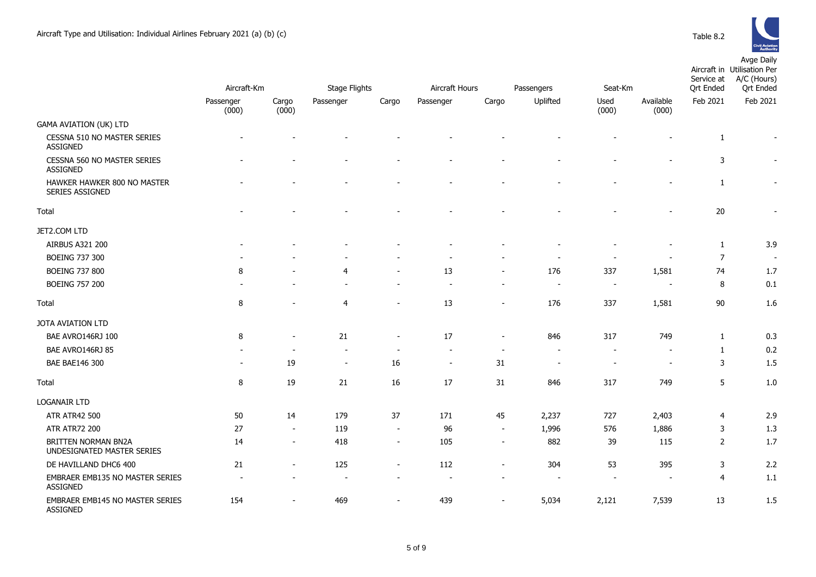

|                                                          |                          |                          | Aircraft Hours       |                          |                          |                          |                          |                          | Aircraft in Utilisation Per<br>A/C (Hours)<br>Service at |                  |                          |
|----------------------------------------------------------|--------------------------|--------------------------|----------------------|--------------------------|--------------------------|--------------------------|--------------------------|--------------------------|----------------------------------------------------------|------------------|--------------------------|
|                                                          | Aircraft-Km              |                          | <b>Stage Flights</b> |                          |                          |                          | Passengers               | Seat-Km                  |                                                          | <b>Qrt Ended</b> | <b>Qrt Ended</b>         |
|                                                          | Passenger<br>(000)       | Cargo<br>(000)           | Passenger            | Cargo                    | Passenger                | Cargo                    | Uplifted                 | Used<br>(000)            | Available<br>(000)                                       | Feb 2021         | Feb 2021                 |
| <b>GAMA AVIATION (UK) LTD</b>                            |                          |                          |                      |                          |                          |                          |                          |                          |                                                          |                  |                          |
| CESSNA 510 NO MASTER SERIES<br><b>ASSIGNED</b>           |                          |                          |                      |                          |                          |                          |                          |                          |                                                          | 1                | $\overline{\phantom{a}}$ |
| CESSNA 560 NO MASTER SERIES<br><b>ASSIGNED</b>           |                          |                          |                      |                          |                          |                          |                          |                          |                                                          | 3                | $\overline{\phantom{a}}$ |
| HAWKER HAWKER 800 NO MASTER<br><b>SERIES ASSIGNED</b>    |                          |                          |                      |                          |                          |                          |                          |                          |                                                          | 1                |                          |
| Total                                                    |                          |                          |                      |                          |                          |                          |                          |                          | $\blacksquare$                                           | 20               | $\overline{\phantom{a}}$ |
| JET2.COM LTD                                             |                          |                          |                      |                          |                          |                          |                          |                          |                                                          |                  |                          |
| <b>AIRBUS A321 200</b>                                   |                          |                          |                      |                          |                          |                          |                          |                          |                                                          | 1                | 3.9                      |
| <b>BOEING 737 300</b>                                    |                          |                          |                      |                          |                          |                          |                          |                          |                                                          | 7                | $\overline{\phantom{a}}$ |
| <b>BOEING 737 800</b>                                    | 8                        |                          | $\overline{4}$       |                          | 13                       | ÷                        | 176                      | 337                      | 1,581                                                    | 74               | $1.7$                    |
| <b>BOEING 757 200</b>                                    |                          |                          |                      |                          |                          | $\blacksquare$           | $\blacksquare$           |                          | $\overline{a}$                                           | 8                | 0.1                      |
| Total                                                    | 8                        |                          | $\overline{4}$       | $\blacksquare$           | 13                       | $\blacksquare$           | 176                      | 337                      | 1,581                                                    | 90               | 1.6                      |
| JOTA AVIATION LTD                                        |                          |                          |                      |                          |                          |                          |                          |                          |                                                          |                  |                          |
| BAE AVRO146RJ 100                                        | 8                        |                          | 21                   | $\overline{\phantom{a}}$ | 17                       | $\overline{a}$           | 846                      | 317                      | 749                                                      | 1                | 0.3                      |
| BAE AVRO146RJ 85                                         |                          |                          |                      |                          |                          | $\overline{\phantom{a}}$ |                          |                          |                                                          | 1                | 0.2                      |
| BAE BAE146 300                                           | $\overline{\phantom{a}}$ | 19                       | $\blacksquare$       | 16                       | $\overline{\phantom{a}}$ | 31                       | $\overline{\phantom{a}}$ | $\overline{\phantom{0}}$ | $\overline{\phantom{a}}$                                 | 3                | 1.5                      |
| Total                                                    | 8                        | 19                       | 21                   | 16                       | 17                       | 31                       | 846                      | 317                      | 749                                                      | 5                | 1.0                      |
| <b>LOGANAIR LTD</b>                                      |                          |                          |                      |                          |                          |                          |                          |                          |                                                          |                  |                          |
| <b>ATR ATR42 500</b>                                     | 50                       | 14                       | 179                  | 37                       | 171                      | 45                       | 2,237                    | 727                      | 2,403                                                    | $\overline{4}$   | 2.9                      |
| <b>ATR ATR72 200</b>                                     | 27                       | $\sim$                   | 119                  | $\sim$                   | 96                       | $\blacksquare$           | 1,996                    | 576                      | 1,886                                                    | 3                | 1.3                      |
| <b>BRITTEN NORMAN BN2A</b><br>UNDESIGNATED MASTER SERIES | 14                       | $\overline{\phantom{a}}$ | 418                  | $\overline{\phantom{a}}$ | 105                      | $\overline{\phantom{a}}$ | 882                      | 39                       | 115                                                      | $\overline{2}$   | 1.7                      |
| DE HAVILLAND DHC6 400                                    | 21                       | $\overline{\phantom{a}}$ | 125                  | $\overline{a}$           | 112                      | $\overline{\phantom{0}}$ | 304                      | 53                       | 395                                                      | 3                | 2.2                      |
| EMBRAER EMB135 NO MASTER SERIES<br>ASSIGNED              |                          |                          |                      |                          |                          |                          |                          |                          |                                                          | 4                | 1.1                      |
| EMBRAER EMB145 NO MASTER SERIES                          | 154                      | $\blacksquare$           | 469                  | $\blacksquare$           | 439                      | $\blacksquare$           | 5,034                    | 2,121                    | 7,539                                                    | 13               | 1.5                      |

ASSIGNED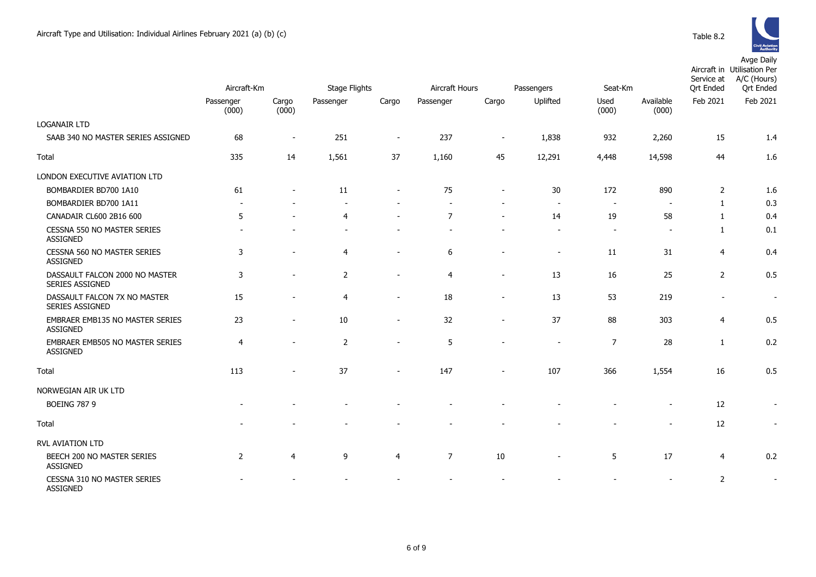

|                                                    | Aircraft-Km        |                          | <b>Stage Flights</b> |                          | Aircraft Hours<br>Passengers |                          |                          | Seat-Km                  |                          | Service at<br><b>Qrt Ended</b> | Aircraft in Utilisation Per<br>A/C (Hours)<br><b>Qrt Ended</b> |
|----------------------------------------------------|--------------------|--------------------------|----------------------|--------------------------|------------------------------|--------------------------|--------------------------|--------------------------|--------------------------|--------------------------------|----------------------------------------------------------------|
|                                                    | Passenger<br>(000) | Cargo<br>(000)           | Passenger            | Cargo                    | Passenger                    | Cargo                    | Uplifted                 | Used<br>(000)            | Available<br>(000)       | Feb 2021                       | Feb 2021                                                       |
| <b>LOGANAIR LTD</b>                                |                    |                          |                      |                          |                              |                          |                          |                          |                          |                                |                                                                |
| SAAB 340 NO MASTER SERIES ASSIGNED                 | 68                 | $\overline{\phantom{a}}$ | 251                  | $\overline{\phantom{a}}$ | 237                          | $\overline{\phantom{a}}$ | 1,838                    | 932                      | 2,260                    | 15                             | 1.4                                                            |
| Total                                              | 335                | 14                       | 1,561                | 37                       | 1,160                        | 45                       | 12,291                   | 4,448                    | 14,598                   | 44                             | 1.6                                                            |
| LONDON EXECUTIVE AVIATION LTD                      |                    |                          |                      |                          |                              |                          |                          |                          |                          |                                |                                                                |
| BOMBARDIER BD700 1A10                              | 61                 |                          | 11                   |                          | 75                           |                          | 30                       | 172                      | 890                      | 2                              | 1.6                                                            |
| BOMBARDIER BD700 1A11                              |                    |                          |                      |                          |                              |                          | $\overline{\phantom{a}}$ | $\overline{\phantom{a}}$ |                          | $\mathbf{1}$                   | 0.3                                                            |
| CANADAIR CL600 2B16 600                            | 5                  |                          | $\overline{4}$       |                          | $\overline{7}$               |                          | 14                       | 19                       | 58                       | $\mathbf{1}$                   | 0.4                                                            |
| CESSNA 550 NO MASTER SERIES<br><b>ASSIGNED</b>     |                    |                          |                      |                          |                              |                          | $\blacksquare$           | $\blacksquare$           | $\overline{\phantom{a}}$ | 1                              | 0.1                                                            |
| CESSNA 560 NO MASTER SERIES<br>ASSIGNED            | 3                  |                          | $\overline{4}$       | $\blacksquare$           | 6                            |                          | $\overline{\phantom{a}}$ | 11                       | 31                       | $\overline{4}$                 | 0.4                                                            |
| DASSAULT FALCON 2000 NO MASTER<br>SERIES ASSIGNED  | 3                  |                          | $\overline{2}$       | $\overline{\phantom{a}}$ | $\overline{4}$               |                          | 13                       | 16                       | 25                       | $\overline{2}$                 | 0.5                                                            |
| DASSAULT FALCON 7X NO MASTER<br>SERIES ASSIGNED    | 15                 |                          | $\overline{4}$       | $\overline{\phantom{a}}$ | 18                           | $\overline{\phantom{a}}$ | 13                       | 53                       | 219                      | $\overline{\phantom{a}}$       | $\blacksquare$                                                 |
| EMBRAER EMB135 NO MASTER SERIES<br><b>ASSIGNED</b> | 23                 |                          | $10\,$               | $\overline{\phantom{a}}$ | 32                           | $\overline{\phantom{a}}$ | 37                       | 88                       | 303                      | $\overline{4}$                 | 0.5                                                            |
| <b>EMBRAER EMB505 NO MASTER SERIES</b><br>ASSIGNED | $\overline{4}$     |                          | $\overline{2}$       | $\overline{\phantom{a}}$ | 5                            |                          | $\overline{\phantom{a}}$ | $\overline{7}$           | 28                       | $\mathbf{1}$                   | 0.2                                                            |
| Total                                              | 113                |                          | 37                   |                          | 147                          |                          | 107                      | 366                      | 1,554                    | 16                             | 0.5                                                            |
| NORWEGIAN AIR UK LTD                               |                    |                          |                      |                          |                              |                          |                          |                          |                          |                                |                                                                |
| <b>BOEING 787 9</b>                                |                    |                          |                      |                          |                              |                          |                          |                          |                          | 12                             | $\overline{\phantom{a}}$                                       |
| Total                                              |                    |                          |                      |                          |                              |                          |                          |                          | $\blacksquare$           | 12                             | $\overline{\phantom{a}}$                                       |
| RVL AVIATION LTD                                   |                    |                          |                      |                          |                              |                          |                          |                          |                          |                                |                                                                |
| BEECH 200 NO MASTER SERIES<br>ASSIGNED             | $\overline{2}$     | 4                        | 9                    | 4                        | $\overline{7}$               | 10                       | $\overline{\phantom{a}}$ | 5                        | 17                       | $\overline{4}$                 | 0.2                                                            |
| CESSNA 310 NO MASTER SERIES<br>ASSIGNED            |                    |                          |                      |                          |                              |                          |                          |                          |                          | $\overline{2}$                 | $\blacksquare$                                                 |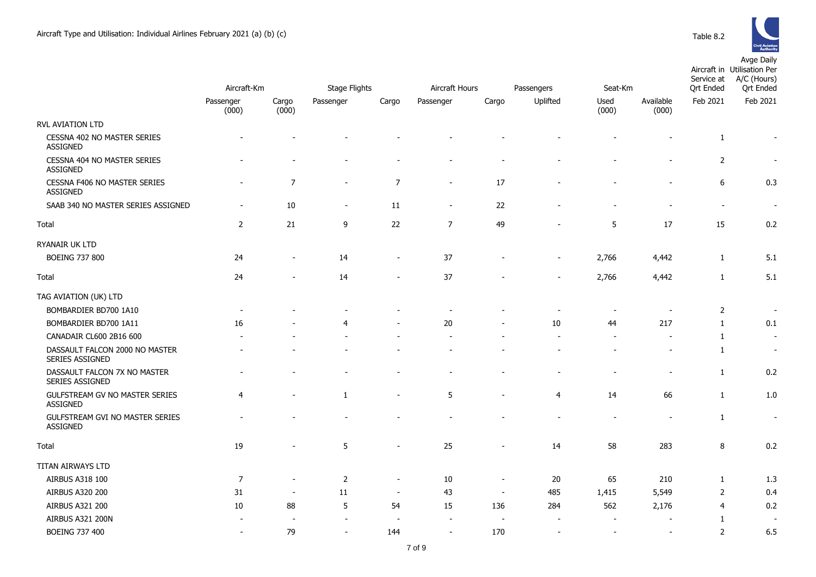RYANAIR UK LTD



|                                                   | Aircraft-Km              |                          | <b>Stage Flights</b>     |                          |                          | Aircraft Hours | Passengers               | Seat-Km       | Service at<br><b>Qrt Ended</b> | <b>Civil Aviation</b><br><b>Authority</b><br>Avge Daily<br>Aircraft in Utilisation Per<br>A/C (Hours)<br><b>Qrt Ended</b> |                          |  |
|---------------------------------------------------|--------------------------|--------------------------|--------------------------|--------------------------|--------------------------|----------------|--------------------------|---------------|--------------------------------|---------------------------------------------------------------------------------------------------------------------------|--------------------------|--|
|                                                   | Passenger<br>(000)       | Cargo<br>(000)           | Passenger                | Cargo                    | Passenger                | Cargo          | Uplifted                 | Used<br>(000) | Available<br>(000)             | Feb 2021                                                                                                                  | Feb 2021                 |  |
| RVL AVIATION LTD                                  |                          |                          |                          |                          |                          |                |                          |               |                                |                                                                                                                           |                          |  |
| CESSNA 402 NO MASTER SERIES<br><b>ASSIGNED</b>    |                          |                          |                          |                          |                          |                |                          |               |                                | 1                                                                                                                         |                          |  |
| CESSNA 404 NO MASTER SERIES<br><b>ASSIGNED</b>    |                          |                          |                          |                          |                          |                |                          |               | $\blacksquare$                 | 2                                                                                                                         |                          |  |
| CESSNA F406 NO MASTER SERIES<br><b>ASSIGNED</b>   |                          | $\overline{7}$           | $\overline{\phantom{a}}$ | $\overline{7}$           | $\overline{\phantom{a}}$ | 17             |                          |               |                                | 6                                                                                                                         | 0.3                      |  |
| SAAB 340 NO MASTER SERIES ASSIGNED                | $\overline{\phantom{a}}$ | 10                       | $\sim$                   | 11                       | $\overline{\phantom{a}}$ | 22             |                          |               |                                | $\overline{\phantom{a}}$                                                                                                  |                          |  |
| Total                                             | 2                        | 21                       | 9                        | 22                       | $\overline{7}$           | 49             |                          | 5             | 17                             | 15                                                                                                                        | 0.2                      |  |
| RYANAIR UK LTD                                    |                          |                          |                          |                          |                          |                |                          |               |                                |                                                                                                                           |                          |  |
| <b>BOEING 737 800</b>                             | 24                       | $\overline{\phantom{a}}$ | 14                       | $\overline{\phantom{a}}$ | 37                       |                | $\overline{\phantom{a}}$ | 2,766         | 4,442                          | 1                                                                                                                         | 5.1                      |  |
| Total                                             | 24                       | $\blacksquare$           | 14                       |                          | 37                       |                | $\overline{\phantom{a}}$ | 2,766         | 4,442                          | $\mathbf{1}$                                                                                                              | 5.1                      |  |
| TAG AVIATION (UK) LTD                             |                          |                          |                          |                          |                          |                |                          |               |                                |                                                                                                                           |                          |  |
| BOMBARDIER BD700 1A10                             |                          |                          |                          |                          |                          |                |                          |               |                                | $\overline{2}$                                                                                                            |                          |  |
| BOMBARDIER BD700 1A11                             | 16                       |                          | 4                        |                          | 20                       |                | 10                       | 44            | 217                            | $\mathbf{1}$                                                                                                              | 0.1                      |  |
| CANADAIR CL600 2B16 600                           |                          |                          |                          |                          |                          |                |                          |               | $\overline{\phantom{a}}$       | 1                                                                                                                         | $\overline{\phantom{a}}$ |  |
| DASSAULT FALCON 2000 NO MASTER<br>SERIES ASSIGNED |                          |                          |                          |                          |                          |                |                          |               |                                | 1                                                                                                                         |                          |  |
| DASSAULT FALCON 7X NO MASTER<br>SERIES ASSIGNED   |                          |                          |                          |                          |                          |                |                          |               | $\overline{\phantom{a}}$       | 1                                                                                                                         | 0.2                      |  |
| GULFSTREAM GV NO MASTER SERIES<br><b>ASSIGNED</b> | 4                        |                          | $\mathbf{1}$             |                          | 5                        |                | 4                        | 14            | 66                             | 1                                                                                                                         | 1.0                      |  |

| DUI'IDARDILR DD/UU IAIU                                  |                          |                          |               |                          |                          |                          |                          |                |                          |   |     |
|----------------------------------------------------------|--------------------------|--------------------------|---------------|--------------------------|--------------------------|--------------------------|--------------------------|----------------|--------------------------|---|-----|
| BOMBARDIER BD700 1A11                                    | 16                       | $\overline{\phantom{a}}$ | 4             | $\overline{\phantom{a}}$ | 20                       | $\overline{\phantom{a}}$ | 10                       | 44             | 217                      |   | 0.1 |
| CANADAIR CL600 2B16 600                                  | $\sim$                   | $\sim$                   | ۰             | $\overline{\phantom{a}}$ | $\overline{\phantom{a}}$ | $\sim$                   | $\sim$                   | $\overline{a}$ | $\overline{\phantom{a}}$ |   |     |
| DASSAULT FALCON 2000 NO MASTER<br><b>SERIES ASSIGNED</b> |                          | $\overline{\phantom{a}}$ | ۰             | $\sim$                   | $\overline{\phantom{a}}$ | $\overline{\phantom{a}}$ | $\overline{\phantom{a}}$ |                | $\overline{\phantom{a}}$ |   |     |
| DASSAULT FALCON 7X NO MASTER<br>SERIES ASSIGNED          |                          |                          |               |                          |                          |                          |                          |                |                          |   | 0.2 |
| GULFSTREAM GV NO MASTER SERIES<br><b>ASSIGNED</b>        | 4                        | $\overline{\phantom{a}}$ |               | $\overline{\phantom{a}}$ | 5                        | $\overline{\phantom{a}}$ | 4                        | 14             | 66                       |   | 1.0 |
| <b>GULFSTREAM GVI NO MASTER SERIES</b><br>ASSIGNED       |                          |                          |               |                          |                          |                          |                          |                |                          |   |     |
| Total                                                    | 19                       | $\overline{\phantom{a}}$ | 5             | $\overline{\phantom{0}}$ | 25                       | $\sim$                   | 14                       | 58             | 283                      | 8 | 0.2 |
| TITAN AIRWAYS LTD                                        |                          |                          |               |                          |                          |                          |                          |                |                          |   |     |
| AIRBUS A318 100                                          | $\overline{\phantom{a}}$ | $\overline{\phantom{a}}$ | $\mathcal{P}$ | $\overline{\phantom{0}}$ | 10                       | $\overline{\phantom{a}}$ | 20                       | 65             | 210                      |   | 1.3 |
| AIRBUS A320 200                                          | 31                       | $\overline{\phantom{a}}$ | 11            | $\overline{\phantom{a}}$ | 43                       | $\overline{\phantom{a}}$ | 485                      | 1,415          | 5,549                    |   | 0.4 |
| <b>AIRBUS A321 200</b>                                   | 10                       | 88                       | 5             | 54                       | 15                       | 136                      | 284                      | 562            | 2,176                    | 4 | 0.2 |
|                                                          |                          |                          |               |                          |                          |                          |                          |                |                          |   |     |

AIRBUS A321 200N - - - - - - - - - 1 -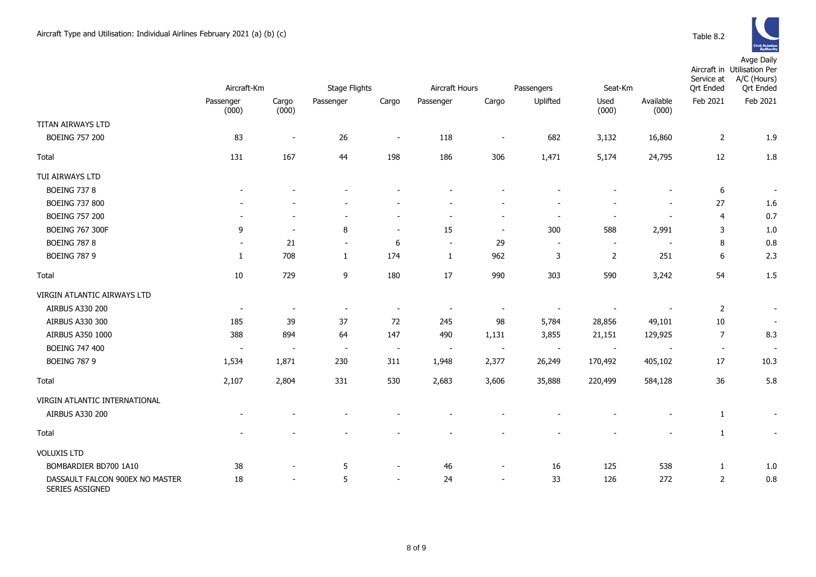

|                                                    | Aircraft-Km              |                          | <b>Stage Flights</b>     |                          | Aircraft Hours<br>Passengers |                          |                          | Seat-Km                  |                    | Service at<br><b>Qrt Ended</b> | Aircraft in Utilisation Per<br>A/C (Hours)<br><b>Qrt Ended</b> |
|----------------------------------------------------|--------------------------|--------------------------|--------------------------|--------------------------|------------------------------|--------------------------|--------------------------|--------------------------|--------------------|--------------------------------|----------------------------------------------------------------|
|                                                    | Passenger<br>(000)       | Cargo<br>(000)           | Passenger                | Cargo                    | Passenger                    | Cargo                    | Uplifted                 | Used<br>(000)            | Available<br>(000) | Feb 2021                       | Feb 2021                                                       |
| TITAN AIRWAYS LTD                                  |                          |                          |                          |                          |                              |                          |                          |                          |                    |                                |                                                                |
| <b>BOEING 757 200</b>                              | 83                       | $\overline{\phantom{a}}$ | 26                       | $\sim$                   | 118                          | $\overline{\phantom{a}}$ | 682                      | 3,132                    | 16,860             | $\overline{2}$                 | 1.9                                                            |
| Total                                              | 131                      | 167                      | 44                       | 198                      | 186                          | 306                      | 1,471                    | 5,174                    | 24,795             | 12                             | 1.8                                                            |
| TUI AIRWAYS LTD                                    |                          |                          |                          |                          |                              |                          |                          |                          |                    |                                |                                                                |
| <b>BOEING 737 8</b>                                |                          |                          |                          |                          |                              |                          |                          |                          |                    | 6                              | $\overline{\phantom{a}}$                                       |
| <b>BOEING 737 800</b>                              |                          |                          |                          |                          |                              |                          |                          |                          | $\blacksquare$     | 27                             | 1.6                                                            |
| <b>BOEING 757 200</b>                              |                          |                          |                          | $\blacksquare$           | $\overline{a}$               | $\overline{a}$           |                          | $\overline{\phantom{a}}$ | $\blacksquare$     | $\overline{4}$                 | 0.7                                                            |
| <b>BOEING 767 300F</b>                             | 9                        | $\overline{\phantom{a}}$ | 8                        | $\overline{\phantom{a}}$ | 15                           | $\overline{\phantom{a}}$ | 300                      | 588                      | 2,991              | 3                              | 1.0                                                            |
| <b>BOEING 787 8</b>                                |                          | 21                       | $\blacksquare$           | 6                        | $\blacksquare$               | 29                       | $\overline{\phantom{a}}$ | $\sim$                   | $\blacksquare$     | 8                              | 0.8                                                            |
| <b>BOEING 787 9</b>                                | 1                        | 708                      | 1                        | 174                      | 1                            | 962                      | 3                        | $\overline{2}$           | 251                | 6                              | 2.3                                                            |
| Total                                              | $10\,$                   | 729                      | 9                        | 180                      | 17                           | 990                      | 303                      | 590                      | 3,242              | 54                             | 1.5                                                            |
| VIRGIN ATLANTIC AIRWAYS LTD                        |                          |                          |                          |                          |                              |                          |                          |                          |                    |                                |                                                                |
| AIRBUS A330 200                                    |                          | $\overline{\phantom{a}}$ | $\overline{\phantom{a}}$ | $\overline{\phantom{a}}$ |                              | $\overline{\phantom{a}}$ |                          |                          |                    | 2                              | $\overline{\phantom{a}}$                                       |
| AIRBUS A330 300                                    | 185                      | 39                       | 37                       | 72                       | 245                          | 98                       | 5,784                    | 28,856                   | 49,101             | 10                             | $\blacksquare$                                                 |
| AIRBUS A350 1000                                   | 388                      | 894                      | 64                       | 147                      | 490                          | 1,131                    | 3,855                    | 21,151                   | 129,925            | $\overline{7}$                 | 8.3                                                            |
| <b>BOEING 747 400</b>                              | $\overline{\phantom{a}}$ |                          | $\overline{\phantom{a}}$ | $\overline{\phantom{a}}$ | $\overline{\phantom{a}}$     | $\sim$                   | $\overline{\phantom{a}}$ | $\overline{\phantom{a}}$ |                    | $\overline{\phantom{a}}$       | $\overline{\phantom{a}}$                                       |
| <b>BOEING 787 9</b>                                | 1,534                    | 1,871                    | 230                      | 311                      | 1,948                        | 2,377                    | 26,249                   | 170,492                  | 405,102            | 17                             | 10.3                                                           |
| Total                                              | 2,107                    | 2,804                    | 331                      | 530                      | 2,683                        | 3,606                    | 35,888                   | 220,499                  | 584,128            | 36                             | 5.8                                                            |
| VIRGIN ATLANTIC INTERNATIONAL                      |                          |                          |                          |                          |                              |                          |                          |                          |                    |                                |                                                                |
| AIRBUS A330 200                                    |                          |                          |                          |                          |                              |                          |                          |                          |                    | $\mathbf{1}$                   | $\overline{\phantom{a}}$                                       |
| Total                                              |                          |                          |                          |                          |                              |                          |                          |                          |                    | $\mathbf{1}$                   | $\overline{\phantom{a}}$                                       |
| <b>VOLUXIS LTD</b>                                 |                          |                          |                          |                          |                              |                          |                          |                          |                    |                                |                                                                |
| BOMBARDIER BD700 1A10                              | 38                       |                          | 5                        | $\blacksquare$           | 46                           | $\overline{a}$           | 16                       | 125                      | 538                | $\mathbf{1}$                   | 1.0                                                            |
| DASSAULT FALCON 900EX NO MASTER<br>SERIES ASSIGNED | 18                       |                          | 5                        | $\sim$                   | 24                           | $\sim$                   | 33                       | 126                      | 272                | $\overline{2}$                 | 0.8                                                            |